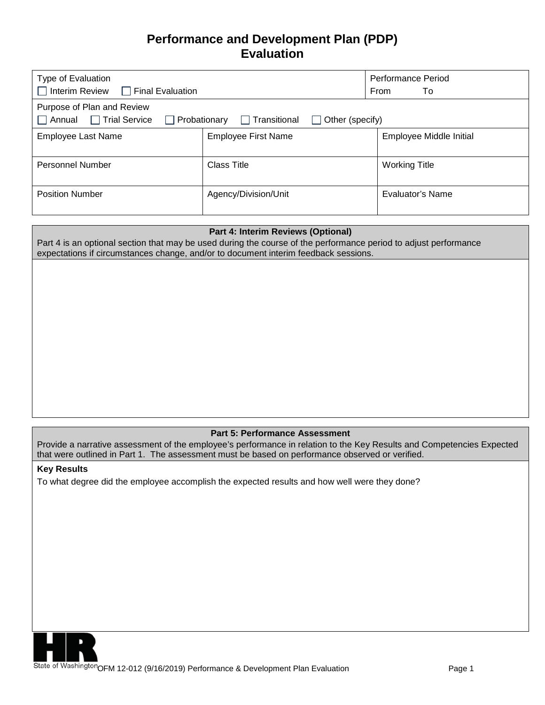# **Performance and Development Plan (PDP) Evaluation**

| Type of Evaluation<br>$\Box$ Interim Review $\Box$ Final Evaluation                                                                                   | <b>Performance Period</b><br>From<br>To |                         |  |  |
|-------------------------------------------------------------------------------------------------------------------------------------------------------|-----------------------------------------|-------------------------|--|--|
| Purpose of Plan and Review<br>$\Box$ Trial Service<br>$\Box$ Annual<br>$\Box$ Transitional<br>$\Box$ Probationary<br>Other (specify)<br>$\mathcal{L}$ |                                         |                         |  |  |
| <b>Employee Last Name</b>                                                                                                                             | <b>Employee First Name</b>              | Employee Middle Initial |  |  |
| <b>Personnel Number</b>                                                                                                                               | Class Title                             | <b>Working Title</b>    |  |  |
| <b>Position Number</b>                                                                                                                                | Agency/Division/Unit                    | Evaluator's Name        |  |  |

### **Part 4: Interim Reviews (Optional)**

Part 4 is an optional section that may be used during the course of the performance period to adjust performance expectations if circumstances change, and/or to document interim feedback sessions.

### **Part 5: Performance Assessment**

Provide a narrative assessment of the employee's performance in relation to the Key Results and Competencies Expected that were outlined in Part 1. The assessment must be based on performance observed or verified.

#### **Key Results**

To what degree did the employee accomplish the expected results and how well were they done?



State of Washington OFM 12-012 (9/16/2019) Performance & Development Plan Evaluation Page 1